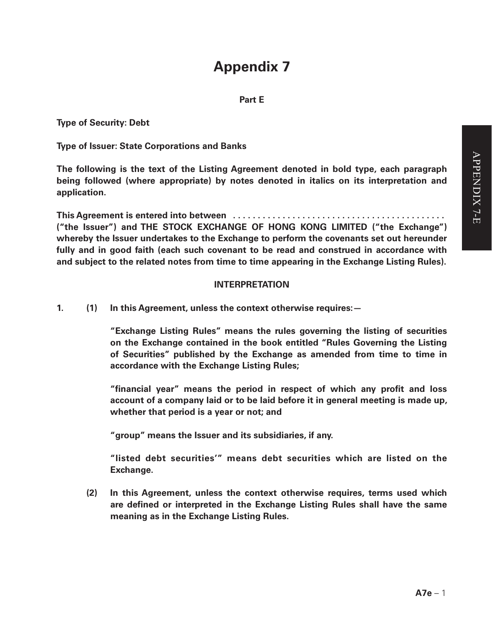# **Appendix 7**

**Part E**

**Type of Security: Debt**

**Type of Issuer: State Corporations and Banks**

**The following is the text of the Listing Agreement denoted in bold type, each paragraph being followed (where appropriate) by notes denoted in italics on its interpretation and application.**

**This Agreement is entered into between . . ("the Issuer") and THE STOCK EXCHANGE OF HONG KONG LIMITED ("the Exchange") whereby the Issuer undertakes to the Exchange to perform the covenants set out hereunder fully and in good faith (each such covenant to be read and construed in accordance with and subject to the related notes from time to time appearing in the Exchange Listing Rules).**

#### **INTERPRETATION**

**1. (1) In this Agreement, unless the context otherwise requires:—**

**"Exchange Listing Rules" means the rules governing the listing of securities on the Exchange contained in the book entitled "Rules Governing the Listing of Securities" published by the Exchange as amended from time to time in accordance with the Exchange Listing Rules;**

**"financial year" means the period in respect of which any profit and loss account of a company laid or to be laid before it in general meeting is made up, whether that period is a year or not; and**

**"group" means the Issuer and its subsidiaries, if any.**

**"listed debt securities'" means debt securities which are listed on the Exchange.**

**(2) In this Agreement, unless the context otherwise requires, terms used which are defined or interpreted in the Exchange Listing Rules shall have the same meaning as in the Exchange Listing Rules.**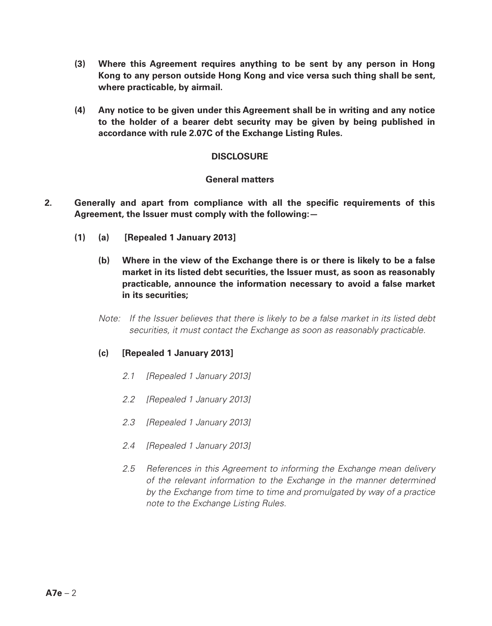- **(3) Where this Agreement requires anything to be sent by any person in Hong Kong to any person outside Hong Kong and vice versa such thing shall be sent, where practicable, by airmail.**
- **(4) Any notice to be given under this Agreement shall be in writing and any notice to the holder of a bearer debt security may be given by being published in accordance with rule 2.07C of the Exchange Listing Rules.**

## **DISCLOSURE**

## **General matters**

- **2. Generally and apart from compliance with all the specific requirements of this Agreement, the Issuer must comply with the following:—**
	- **(1) (a) [Repealed 1 January 2013]**
		- **(b) Where in the view of the Exchange there is or there is likely to be a false market in its listed debt securities, the Issuer must, as soon as reasonably practicable, announce the information necessary to avoid a false market in its securities;**
		- *Note: If the Issuer believes that there is likely to be a false market in its listed debt securities, it must contact the Exchange as soon as reasonably practicable.*

#### **(c) [Repealed 1 January 2013]**

- *2.1 [Repealed 1 January 2013]*
- *2.2 [Repealed 1 January 2013]*
- *2.3 [Repealed 1 January 2013]*
- *2.4 [Repealed 1 January 2013]*
- *2.5 References in this Agreement to informing the Exchange mean delivery of the relevant information to the Exchange in the manner determined by the Exchange from time to time and promulgated by way of a practice note to the Exchange Listing Rules.*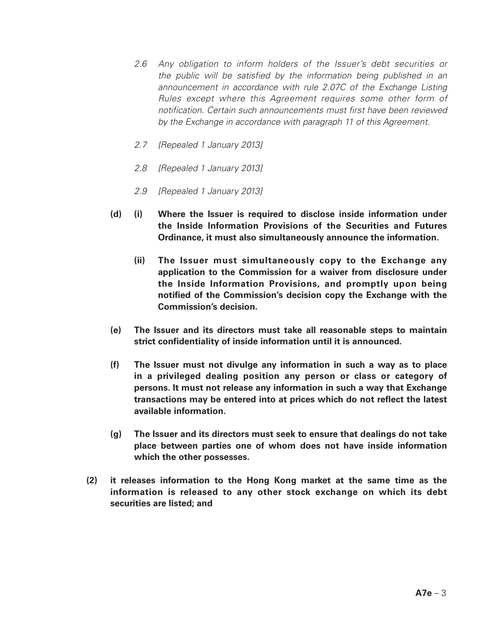- *2.6 Any obligation to inform holders of the Issuer's debt securities or the public will be satisfied by the information being published in an*  announcement in accordance with rule 2.07C of the Exchange Listing *Rules except where this Agreement requires some other form of notification. Certain such announcements must first have been reviewed by the Exchange in accordance with paragraph 11 of this Agreement.*
- *2.7 [Repealed 1 January 2013]*
- *2.8 [Repealed 1 January 2013]*
- *2.9 [Repealed 1 January 2013]*
- **(d) (i) Where the Issuer is required to disclose inside information under the Inside Information Provisions of the Securities and Futures Ordinance, it must also simultaneously announce the information.**
	- **(ii) The Issuer must simultaneously copy to the Exchange any application to the Commission for a waiver from disclosure under the Inside Information Provisions, and promptly upon being notified of the Commission's decision copy the Exchange with the Commission's decision.**
- **(e) The Issuer and its directors must take all reasonable steps to maintain strict confidentiality of inside information until it is announced.**
- **(f) The Issuer must not divulge any information in such a way as to place in a privileged dealing position any person or class or category of persons. It must not release any information in such a way that Exchange transactions may be entered into at prices which do not reflect the latest available information.**
- **(g) The Issuer and its directors must seek to ensure that dealings do not take place between parties one of whom does not have inside information which the other possesses.**
- **(2) it releases information to the Hong Kong market at the same time as the information is released to any other stock exchange on which its debt securities are listed; and**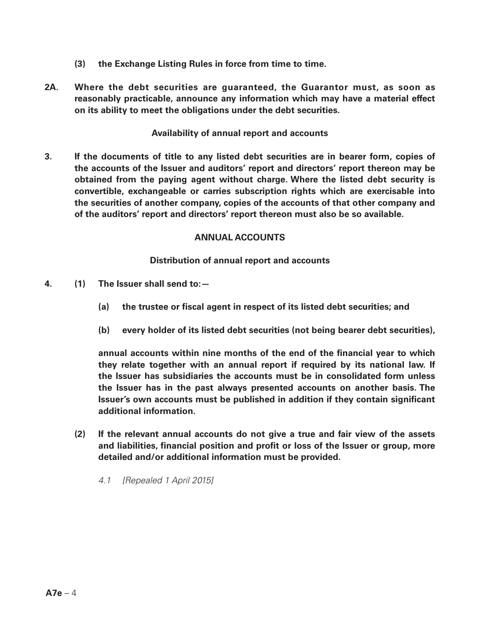- **(3) the Exchange Listing Rules in force from time to time.**
- **2A. Where the debt securities are guaranteed, the Guarantor must, as soon as reasonably practicable, announce any information which may have a material effect on its ability to meet the obligations under the debt securities.**

#### **Availability of annual report and accounts**

**3. If the documents of title to any listed debt securities are in bearer form, copies of the accounts of the Issuer and auditors' report and directors' report thereon may be obtained from the paying agent without charge. Where the listed debt security is convertible, exchangeable or carries subscription rights which are exercisable into the securities of another company, copies of the accounts of that other company and of the auditors' report and directors' report thereon must also be so available.**

## **ANNUAL ACCOUNTS**

#### **Distribution of annual report and accounts**

- **4. (1) The Issuer shall send to:—**
	- **(a) the trustee or fiscal agent in respect of its listed debt securities; and**
	- **(b) every holder of its listed debt securities (not being bearer debt securities),**

**annual accounts within nine months of the end of the financial year to which they relate together with an annual report if required by its national law. If the Issuer has subsidiaries the accounts must be in consolidated form unless the Issuer has in the past always presented accounts on another basis. The Issuer's own accounts must be published in addition if they contain significant additional information.**

- **(2) If the relevant annual accounts do not give a true and fair view of the assets and liabilities, financial position and profit or loss of the Issuer or group, more detailed and/or additional information must be provided.**
	- *4.1 [Repealed 1 April 2015]*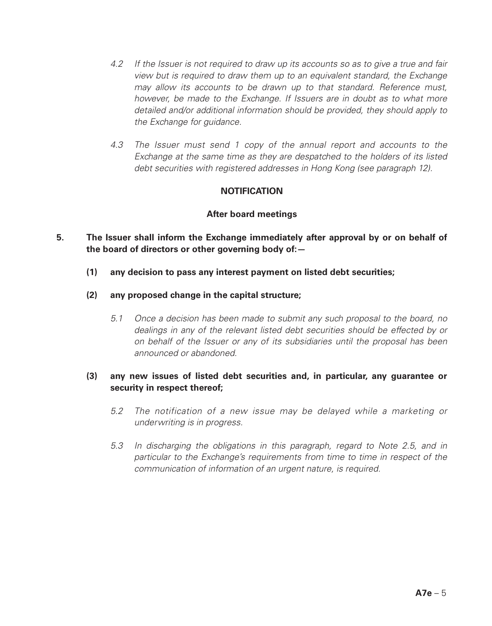- *4.2 If the Issuer is not required to draw up its accounts so as to give a true and fair view but is required to draw them up to an equivalent standard, the Exchange may allow its accounts to be drawn up to that standard. Reference must, however, be made to the Exchange. If Issuers are in doubt as to what more detailed and/or additional information should be provided, they should apply to the Exchange for guidance.*
- *4.3 The Issuer must send 1 copy of the annual report and accounts to the Exchange at the same time as they are despatched to the holders of its listed debt securities with registered addresses in Hong Kong (see paragraph 12).*

## **NOTIFICATION**

#### **After board meetings**

- **5. The Issuer shall inform the Exchange immediately after approval by or on behalf of the board of directors or other governing body of:—**
	- **(1) any decision to pass any interest payment on listed debt securities;**
	- **(2) any proposed change in the capital structure;**
		- *5.1 Once a decision has been made to submit any such proposal to the board, no dealings in any of the relevant listed debt securities should be effected by or on behalf of the Issuer or any of its subsidiaries until the proposal has been announced or abandoned.*

# **(3) any new issues of listed debt securities and, in particular, any guarantee or security in respect thereof;**

- *5.2 The notification of a new issue may be delayed while a marketing or underwriting is in progress.*
- *5.3 In discharging the obligations in this paragraph, regard to Note 2.5, and in particular to the Exchange's requirements from time to time in respect of the communication of information of an urgent nature, is required.*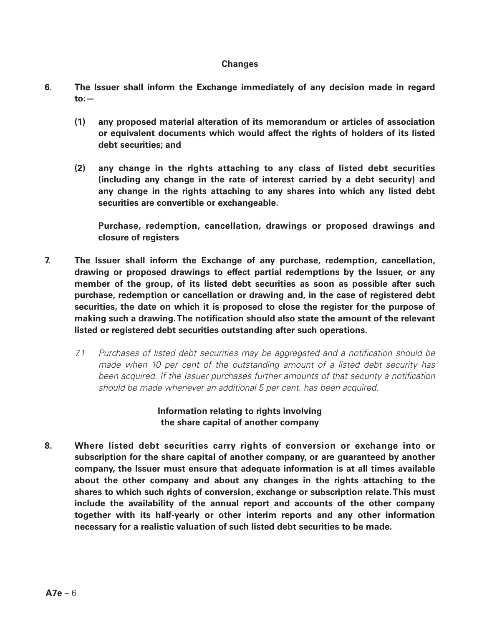#### **Changes**

- **6. The Issuer shall inform the Exchange immediately of any decision made in regard to:—**
	- **(1) any proposed material alteration of its memorandum or articles of association or equivalent documents which would affect the rights of holders of its listed debt securities; and**
	- **(2) any change in the rights attaching to any class of listed debt securities (including any change in the rate of interest carried by a debt security) and any change in the rights attaching to any shares into which any listed debt securities are convertible or exchangeable.**

**Purchase, redemption, cancellation, drawings or proposed drawings and closure of registers**

- **7. The Issuer shall inform the Exchange of any purchase, redemption, cancellation, drawing or proposed drawings to effect partial redemptions by the Issuer, or any member of the group, of its listed debt securities as soon as possible after such purchase, redemption or cancellation or drawing and, in the case of registered debt securities, the date on which it is proposed to close the register for the purpose of making such a drawing. The notification should also state the amount of the relevant listed or registered debt securities outstanding after such operations.**
	- *7.1 Purchases of listed debt securities may be aggregated and a notification should be made when 10 per cent of the outstanding amount of a listed debt security has been acquired. If the Issuer purchases further amounts of that security a notification should be made whenever an additional 5 per cent. has been acquired.*

# **Information relating to rights involving the share capital of another company**

**8. Where listed debt securities carry rights of conversion or exchange into or subscription for the share capital of another company, or are guaranteed by another company, the Issuer must ensure that adequate information is at all times available about the other company and about any changes in the rights attaching to the shares to which such rights of conversion, exchange or subscription relate. This must include the availability of the annual report and accounts of the other company together with its half-yearly or other interim reports and any other information necessary for a realistic valuation of such listed debt securities to be made.**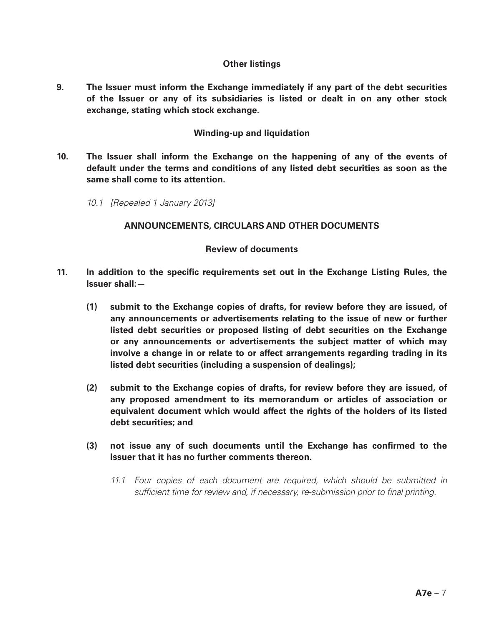#### **Other listings**

**9. The Issuer must inform the Exchange immediately if any part of the debt securities of the Issuer or any of its subsidiaries is listed or dealt in on any other stock exchange, stating which stock exchange.**

#### **Winding-up and liquidation**

- **10. The Issuer shall inform the Exchange on the happening of any of the events of default under the terms and conditions of any listed debt securities as soon as the same shall come to its attention.**
	- *10.1 [Repealed 1 January 2013]*

#### **ANNOUNCEMENTS, CIRCULARS AND OTHER DOCUMENTS**

#### **Review of documents**

- **11. In addition to the specific requirements set out in the Exchange Listing Rules, the Issuer shall:—**
	- **(1) submit to the Exchange copies of drafts, for review before they are issued, of any announcements or advertisements relating to the issue of new or further listed debt securities or proposed listing of debt securities on the Exchange or any announcements or advertisements the subject matter of which may involve a change in or relate to or affect arrangements regarding trading in its listed debt securities (including a suspension of dealings);**
	- **(2) submit to the Exchange copies of drafts, for review before they are issued, of any proposed amendment to its memorandum or articles of association or equivalent document which would affect the rights of the holders of its listed debt securities; and**
	- **(3) not issue any of such documents until the Exchange has confirmed to the Issuer that it has no further comments thereon.**
		- *11.1 Four copies of each document are required, which should be submitted in sufficient time for review and, if necessary, re-submission prior to final printing.*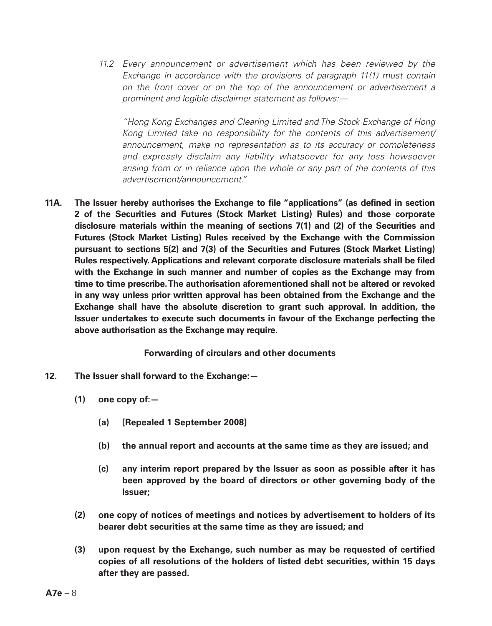*11.2 Every announcement or advertisement which has been reviewed by the Exchange in accordance with the provisions of paragraph 11(1) must contain on the front cover or on the top of the announcement or advertisement a prominent and legible disclaimer statement as follows:—*

*"Hong Kong Exchanges and Clearing Limited and The Stock Exchange of Hong Kong Limited take no responsibility for the contents of this advertisement/ announcement, make no representation as to its accuracy or completeness and expressly disclaim any liability whatsoever for any loss howsoever arising from or in reliance upon the whole or any part of the contents of this advertisement/announcement."*

**11A. The Issuer hereby authorises the Exchange to file "applications" (as defined in section 2 of the Securities and Futures (Stock Market Listing) Rules) and those corporate disclosure materials within the meaning of sections 7(1) and (2) of the Securities and Futures (Stock Market Listing) Rules received by the Exchange with the Commission pursuant to sections 5(2) and 7(3) of the Securities and Futures (Stock Market Listing) Rules respectively. Applications and relevant corporate disclosure materials shall be filed with the Exchange in such manner and number of copies as the Exchange may from time to time prescribe. The authorisation aforementioned shall not be altered or revoked in any way unless prior written approval has been obtained from the Exchange and the Exchange shall have the absolute discretion to grant such approval. In addition, the Issuer undertakes to execute such documents in favour of the Exchange perfecting the above authorisation as the Exchange may require.**

**Forwarding of circulars and other documents**

- **12. The Issuer shall forward to the Exchange:—**
	- **(1) one copy of:—**
		- **(a) [Repealed 1 September 2008]**
		- **(b) the annual report and accounts at the same time as they are issued; and**
		- **(c) any interim report prepared by the Issuer as soon as possible after it has been approved by the board of directors or other governing body of the Issuer;**
	- **(2) one copy of notices of meetings and notices by advertisement to holders of its bearer debt securities at the same time as they are issued; and**
	- **(3) upon request by the Exchange, such number as may be requested of certified copies of all resolutions of the holders of listed debt securities, within 15 days after they are passed.**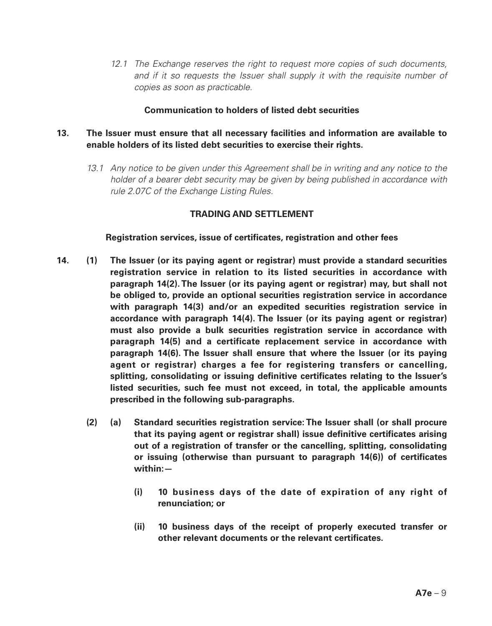*12.1 The Exchange reserves the right to request more copies of such documents,*  and if it so requests the Issuer shall supply it with the requisite number of *copies as soon as practicable.*

## **Communication to holders of listed debt securities**

# **13. The Issuer must ensure that all necessary facilities and information are available to enable holders of its listed debt securities to exercise their rights.**

*13.1 Any notice to be given under this Agreement shall be in writing and any notice to the holder of a bearer debt security may be given by being published in accordance with rule 2.07C of the Exchange Listing Rules.*

## **TRADING AND SETTLEMENT**

#### **Registration services, issue of certificates, registration and other fees**

- **14. (1) The Issuer (or its paying agent or registrar) must provide a standard securities registration service in relation to its listed securities in accordance with paragraph 14(2). The Issuer (or its paying agent or registrar) may, but shall not be obliged to, provide an optional securities registration service in accordance with paragraph 14(3) and/or an expedited securities registration service in accordance with paragraph 14(4). The Issuer (or its paying agent or registrar) must also provide a bulk securities registration service in accordance with paragraph 14(5) and a certificate replacement service in accordance with paragraph 14(6). The Issuer shall ensure that where the Issuer (or its paying agent or registrar) charges a fee for registering transfers or cancelling, splitting, consolidating or issuing definitive certificates relating to the Issuer's listed securities, such fee must not exceed, in total, the applicable amounts prescribed in the following sub-paragraphs.**
	- **(2) (a) Standard securities registration service: The Issuer shall (or shall procure that its paying agent or registrar shall) issue definitive certificates arising out of a registration of transfer or the cancelling, splitting, consolidating or issuing (otherwise than pursuant to paragraph 14(6)) of certificates within:—**
		- **(i) 10 business days of the date of expiration of any right of renunciation; or**
		- **(ii) 10 business days of the receipt of properly executed transfer or other relevant documents or the relevant certificates.**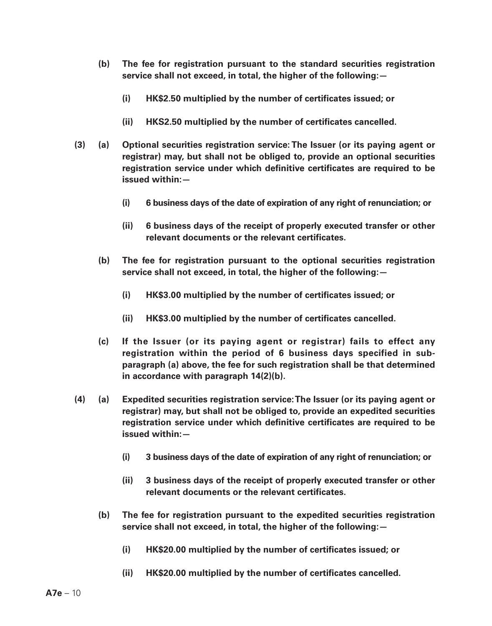- **(b) The fee for registration pursuant to the standard securities registration service shall not exceed, in total, the higher of the following:—**
	- **(i) HK\$2.50 multiplied by the number of certificates issued; or**
	- **(ii) HKS2.50 multiplied by the number of certificates cancelled.**
- **(3) (a) Optional securities registration service: The Issuer (or its paying agent or registrar) may, but shall not be obliged to, provide an optional securities registration service under which definitive certificates are required to be issued within:—**
	- **(i) 6 business days of the date of expiration of any right of renunciation; or**
	- **(ii) 6 business days of the receipt of properly executed transfer or other relevant documents or the relevant certificates.**
	- **(b) The fee for registration pursuant to the optional securities registration service shall not exceed, in total, the higher of the following:—**
		- **(i) HK\$3.00 multiplied by the number of certificates issued; or**
		- **(ii) HK\$3.00 multiplied by the number of certificates cancelled.**
	- **(c) If the Issuer (or its paying agent or registrar) fails to effect any registration within the period of 6 business days specified in subparagraph (a) above, the fee for such registration shall be that determined in accordance with paragraph 14(2)(b).**
- **(4) (a) Expedited securities registration service: The Issuer (or its paying agent or registrar) may, but shall not be obliged to, provide an expedited securities registration service under which definitive certificates are required to be issued within:—**
	- **(i) 3 business days of the date of expiration of any right of renunciation; or**
	- **(ii) 3 business days of the receipt of properly executed transfer or other relevant documents or the relevant certificates.**
	- **(b) The fee for registration pursuant to the expedited securities registration service shall not exceed, in total, the higher of the following:—**
		- **(i) HK\$20.00 multiplied by the number of certificates issued; or**
		- **(ii) HK\$20.00 multiplied by the number of certificates cancelled.**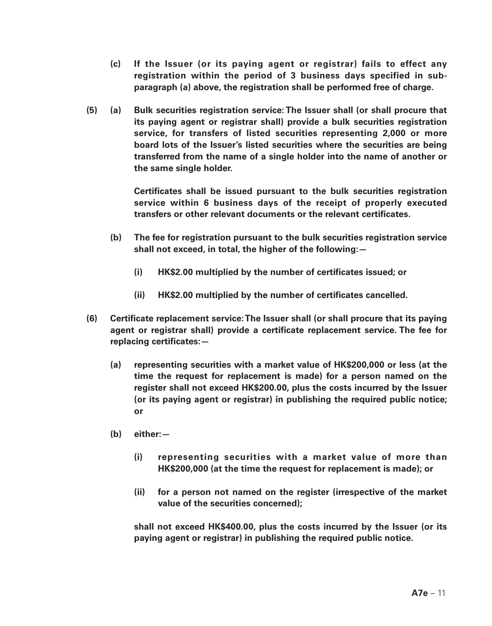- **(c) If the Issuer (or its paying agent or registrar) fails to effect any registration within the period of 3 business days specified in subparagraph (a) above, the registration shall be performed free of charge.**
- **(5) (a) Bulk securities registration service: The Issuer shall (or shall procure that its paying agent or registrar shall) provide a bulk securities registration service, for transfers of listed securities representing 2,000 or more board lots of the Issuer's listed securities where the securities are being transferred from the name of a single holder into the name of another or the same single holder.**

**Certificates shall be issued pursuant to the bulk securities registration service within 6 business days of the receipt of properly executed transfers or other relevant documents or the relevant certificates.**

- **(b) The fee for registration pursuant to the bulk securities registration service shall not exceed, in total, the higher of the following:—**
	- **(i) HK\$2.00 multiplied by the number of certificates issued; or**
	- **(ii) HK\$2.00 multiplied by the number of certificates cancelled.**
- **(6) Certificate replacement service: The Issuer shall (or shall procure that its paying agent or registrar shall) provide a certificate replacement service. The fee for replacing certificates:—**
	- **(a) representing securities with a market value of HK\$200,000 or less (at the time the request for replacement is made) for a person named on the register shall not exceed HK\$200.00, plus the costs incurred by the Issuer (or its paying agent or registrar) in publishing the required public notice; or**
	- **(b) either:—**
		- **(i) representing securities with a market value of more than HK\$200,000 (at the time the request for replacement is made); or**
		- **(ii) for a person not named on the register (irrespective of the market value of the securities concerned);**

**shall not exceed HK\$400.00, plus the costs incurred by the Issuer (or its paying agent or registrar) in publishing the required public notice.**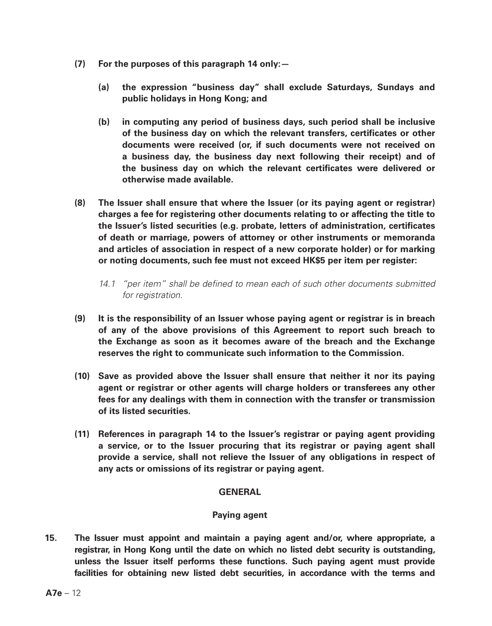- **(7) For the purposes of this paragraph 14 only:—**
	- **(a) the expression "business day" shall exclude Saturdays, Sundays and public holidays in Hong Kong; and**
	- **(b) in computing any period of business days, such period shall be inclusive of the business day on which the relevant transfers, certificates or other documents were received (or, if such documents were not received on a business day, the business day next following their receipt) and of the business day on which the relevant certificates were delivered or otherwise made available.**
- **(8) The Issuer shall ensure that where the Issuer (or its paying agent or registrar) charges a fee for registering other documents relating to or affecting the title to the Issuer's listed securities (e.g. probate, letters of administration, certificates of death or marriage, powers of attorney or other instruments or memoranda and articles of association in respect of a new corporate holder) or for marking or noting documents, such fee must not exceed HK\$5 per item per register:**
	- *14.1 "per item" shall be defined to mean each of such other documents submitted for registration.*
- **(9) It is the responsibility of an Issuer whose paying agent or registrar is in breach of any of the above provisions of this Agreement to report such breach to the Exchange as soon as it becomes aware of the breach and the Exchange reserves the right to communicate such information to the Commission.**
- **(10) Save as provided above the Issuer shall ensure that neither it nor its paying agent or registrar or other agents will charge holders or transferees any other fees for any dealings with them in connection with the transfer or transmission of its listed securities.**
- **(11) References in paragraph 14 to the Issuer's registrar or paying agent providing a service, or to the Issuer procuring that its registrar or paying agent shall provide a service, shall not relieve the Issuer of any obligations in respect of any acts or omissions of its registrar or paying agent.**

#### **GENERAL**

# **Paying agent**

**15. The Issuer must appoint and maintain a paying agent and/or, where appropriate, a registrar, in Hong Kong until the date on which no listed debt security is outstanding, unless the Issuer itself performs these functions. Such paying agent must provide facilities for obtaining new listed debt securities, in accordance with the terms and**